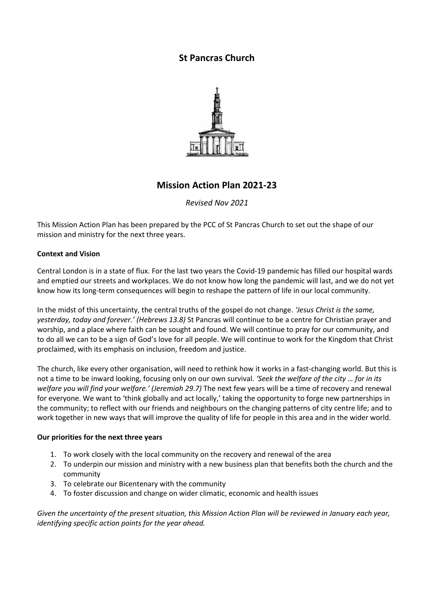# **St Pancras Church**



# **Mission Action Plan 2021-23**

### *Revised Nov 2021*

This Mission Action Plan has been prepared by the PCC of St Pancras Church to set out the shape of our mission and ministry for the next three years.

### **Context and Vision**

Central London is in a state of flux. For the last two years the Covid-19 pandemic has filled our hospital wards and emptied our streets and workplaces. We do not know how long the pandemic will last, and we do not yet know how its long-term consequences will begin to reshape the pattern of life in our local community.

In the midst of this uncertainty, the central truths of the gospel do not change. *'Jesus Christ is the same, yesterday, today and forever.' (Hebrews 13.8)* St Pancras will continue to be a centre for Christian prayer and worship, and a place where faith can be sought and found. We will continue to pray for our community, and to do all we can to be a sign of God's love for all people. We will continue to work for the Kingdom that Christ proclaimed, with its emphasis on inclusion, freedom and justice.

The church, like every other organisation, will need to rethink how it works in a fast-changing world. But this is not a time to be inward looking, focusing only on our own survival. *'Seek the welfare of the city … for in its welfare you will find your welfare.' (Jeremiah 29.7)* The next few years will be a time of recovery and renewal for everyone. We want to 'think globally and act locally,' taking the opportunity to forge new partnerships in the community; to reflect with our friends and neighbours on the changing patterns of city centre life; and to work together in new ways that will improve the quality of life for people in this area and in the wider world.

#### **Our priorities for the next three years**

- 1. To work closely with the local community on the recovery and renewal of the area
- 2. To underpin our mission and ministry with a new business plan that benefits both the church and the community
- 3. To celebrate our Bicentenary with the community
- 4. To foster discussion and change on wider climatic, economic and health issues

Given the uncertainty of the present situation, this Mission Action Plan will be reviewed in January each year, *identifying specific action points for the year ahead.*